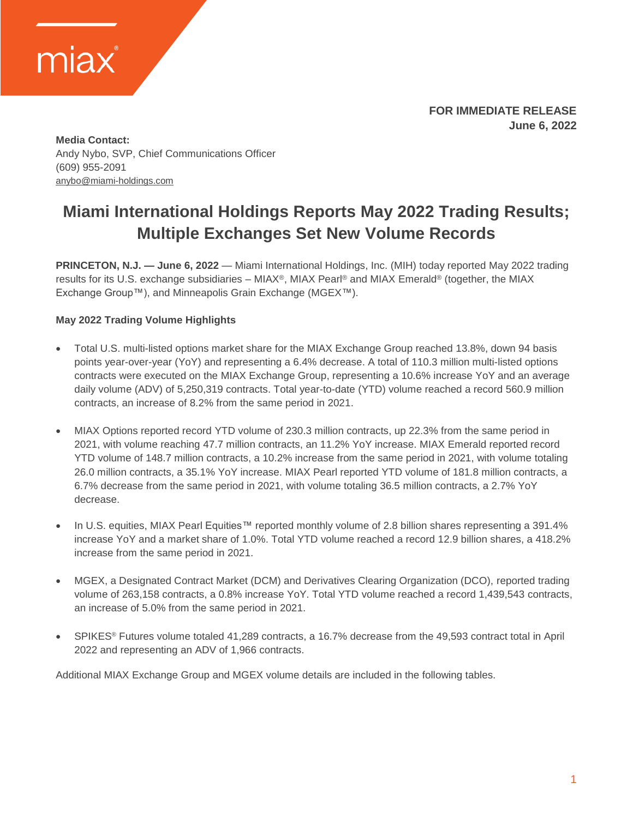

**FOR IMMEDIATE RELEASE June 6, 2022**

**Media Contact:** Andy Nybo, SVP, Chief Communications Officer (609) 955-2091 [anybo@miami-holdings.com](mailto:anybo@miami-holdings.com)

### **Miami International Holdings Reports May 2022 Trading Results; Multiple Exchanges Set New Volume Records**

**PRINCETON, N.J. — June 6, 2022** — Miami International Holdings, Inc. (MIH) today reported May 2022 trading results for its U.S. exchange subsidiaries – MIAX®, MIAX Pearl® and MIAX Emerald® (together, the MIAX Exchange Group™), and Minneapolis Grain Exchange (MGEX™).

### **May 2022 Trading Volume Highlights**

- Total U.S. multi-listed options market share for the MIAX Exchange Group reached 13.8%, down 94 basis points year-over-year (YoY) and representing a 6.4% decrease. A total of 110.3 million multi-listed options contracts were executed on the MIAX Exchange Group, representing a 10.6% increase YoY and an average daily volume (ADV) of 5,250,319 contracts. Total year-to-date (YTD) volume reached a record 560.9 million contracts, an increase of 8.2% from the same period in 2021.
- MIAX Options reported record YTD volume of 230.3 million contracts, up 22.3% from the same period in 2021, with volume reaching 47.7 million contracts, an 11.2% YoY increase. MIAX Emerald reported record YTD volume of 148.7 million contracts, a 10.2% increase from the same period in 2021, with volume totaling 26.0 million contracts, a 35.1% YoY increase. MIAX Pearl reported YTD volume of 181.8 million contracts, a 6.7% decrease from the same period in 2021, with volume totaling 36.5 million contracts, a 2.7% YoY decrease.
- In U.S. equities, MIAX Pearl Equities™ reported monthly volume of 2.8 billion shares representing a 391.4% increase YoY and a market share of 1.0%. Total YTD volume reached a record 12.9 billion shares, a 418.2% increase from the same period in 2021.
- MGEX, a Designated Contract Market (DCM) and Derivatives Clearing Organization (DCO), reported trading volume of 263,158 contracts, a 0.8% increase YoY. Total YTD volume reached a record 1,439,543 contracts, an increase of 5.0% from the same period in 2021.
- SPIKES® Futures volume totaled 41,289 contracts, a 16.7% decrease from the 49,593 contract total in April 2022 and representing an ADV of 1,966 contracts.

Additional MIAX Exchange Group and MGEX volume details are included in the following tables.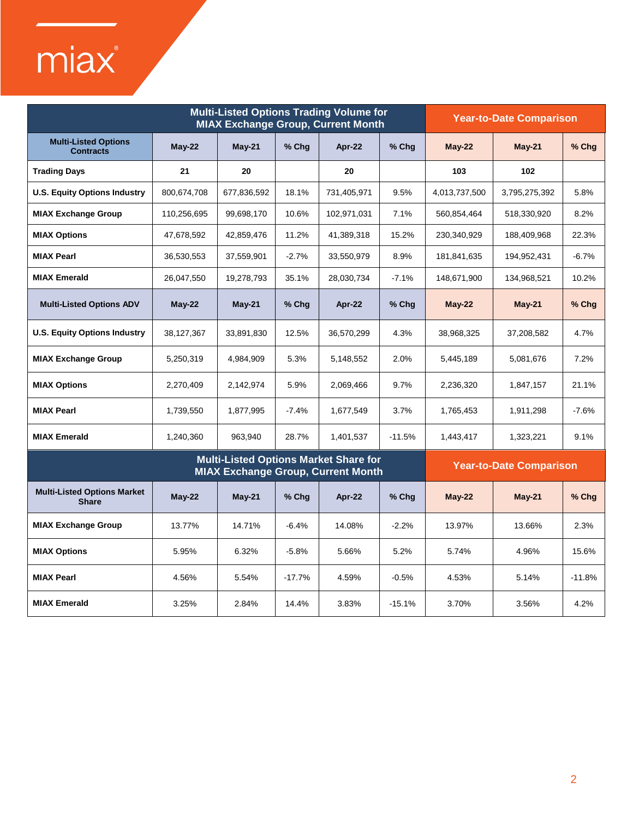# miax®

|                                                                                           | <b>Multi-Listed Options Trading Volume for</b><br><b>MIAX Exchange Group, Current Month</b> |             |          |             |          |                                | <b>Year-to-Date Comparison</b> |          |  |
|-------------------------------------------------------------------------------------------|---------------------------------------------------------------------------------------------|-------------|----------|-------------|----------|--------------------------------|--------------------------------|----------|--|
| <b>Multi-Listed Options</b><br><b>Contracts</b>                                           | May-22                                                                                      | $May-21$    | % Chg    | Apr-22      | % Chg    | <b>May-22</b>                  | $May-21$                       | % Chg    |  |
| <b>Trading Days</b>                                                                       | 21                                                                                          | 20          |          | 20          |          | 103                            | 102                            |          |  |
| <b>U.S. Equity Options Industry</b>                                                       | 800,674,708                                                                                 | 677,836,592 | 18.1%    | 731,405,971 | 9.5%     | 4,013,737,500                  | 3,795,275,392                  | 5.8%     |  |
| <b>MIAX Exchange Group</b>                                                                | 110,256,695                                                                                 | 99,698,170  | 10.6%    | 102,971,031 | 7.1%     | 560,854,464                    | 518,330,920                    | 8.2%     |  |
| <b>MIAX Options</b>                                                                       | 47,678,592                                                                                  | 42,859,476  | 11.2%    | 41,389,318  | 15.2%    | 230,340,929                    | 188,409,968                    | 22.3%    |  |
| <b>MIAX Pearl</b>                                                                         | 36,530,553                                                                                  | 37,559,901  | $-2.7%$  | 33,550,979  | 8.9%     | 181,841,635                    | 194,952,431                    | $-6.7%$  |  |
| <b>MIAX Emerald</b>                                                                       | 26,047,550                                                                                  | 19,278,793  | 35.1%    | 28,030,734  | $-7.1%$  | 148,671,900                    | 134,968,521                    | 10.2%    |  |
| <b>Multi-Listed Options ADV</b>                                                           | $May-22$                                                                                    | $May-21$    | $%$ Chg  | Apr-22      | $%$ Chg  | $May-22$                       | $May-21$                       | % Chg    |  |
| <b>U.S. Equity Options Industry</b>                                                       | 38,127,367                                                                                  | 33,891,830  | 12.5%    | 36,570,299  | 4.3%     | 38,968,325                     | 37,208,582                     | 4.7%     |  |
| <b>MIAX Exchange Group</b>                                                                | 5,250,319                                                                                   | 4,984,909   | 5.3%     | 5,148,552   | 2.0%     | 5,445,189                      | 5,081,676                      | 7.2%     |  |
| <b>MIAX Options</b>                                                                       | 2,270,409                                                                                   | 2,142,974   | 5.9%     | 2,069,466   | 9.7%     | 2,236,320                      | 1,847,157                      | 21.1%    |  |
| <b>MIAX Pearl</b>                                                                         | 1,739,550                                                                                   | 1,877,995   | $-7.4%$  | 1,677,549   | 3.7%     | 1,765,453                      | 1,911,298                      | $-7.6%$  |  |
| <b>MIAX Emerald</b>                                                                       | 1,240,360                                                                                   | 963,940     | 28.7%    | 1,401,537   | $-11.5%$ | 1,443,417                      | 1,323,221                      | 9.1%     |  |
| <b>Multi-Listed Options Market Share for</b><br><b>MIAX Exchange Group, Current Month</b> |                                                                                             |             |          |             |          | <b>Year-to-Date Comparison</b> |                                |          |  |
| <b>Multi-Listed Options Market</b><br><b>Share</b>                                        | $May-22$                                                                                    | $May-21$    | $%$ Chg  | Apr-22      | $%$ Chg  | $May-22$                       | <b>May-21</b>                  | $%$ Chg  |  |
| <b>MIAX Exchange Group</b>                                                                | 13.77%                                                                                      | 14.71%      | $-6.4%$  | 14.08%      | $-2.2%$  | 13.97%                         | 13.66%                         | 2.3%     |  |
| <b>MIAX Options</b>                                                                       | 5.95%                                                                                       | 6.32%       | $-5.8%$  | 5.66%       | 5.2%     | 5.74%                          | 4.96%                          | 15.6%    |  |
| <b>MIAX Pearl</b>                                                                         | 4.56%                                                                                       | 5.54%       | $-17.7%$ | 4.59%       | $-0.5%$  | 4.53%                          | 5.14%                          | $-11.8%$ |  |
| <b>MIAX Emerald</b>                                                                       | 3.25%                                                                                       | 2.84%       | 14.4%    | 3.83%       | $-15.1%$ | 3.70%                          | 3.56%                          | 4.2%     |  |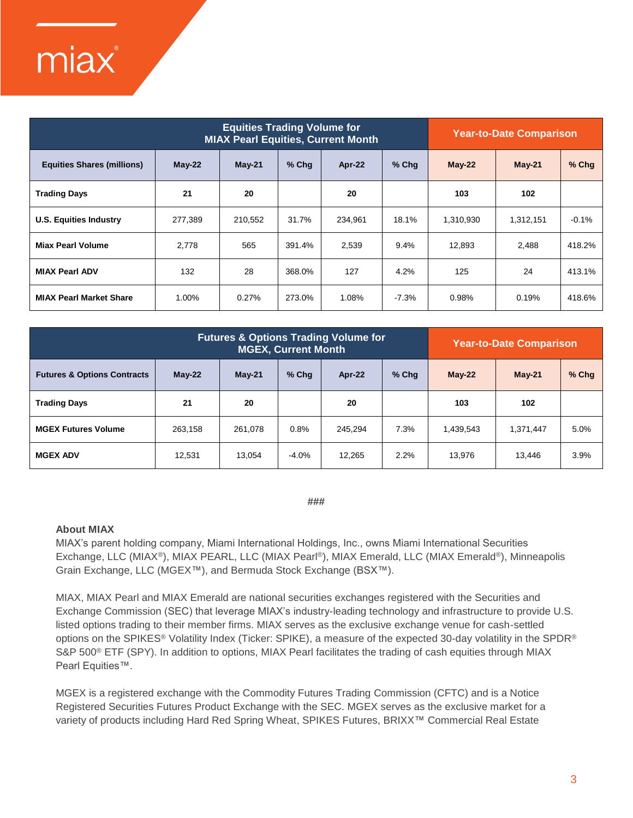## miax®

| <b>Equities Trading Volume for</b><br><b>MIAX Pearl Equities, Current Month</b> |          |          |        |         |         | <b>Year-to-Date Comparison</b> |           |         |
|---------------------------------------------------------------------------------|----------|----------|--------|---------|---------|--------------------------------|-----------|---------|
| <b>Equities Shares (millions)</b>                                               | $May-22$ | $May-21$ | % Chg  | Apr-22  | $%$ Chq | $May-22$                       | $May-21$  | % Chg   |
| <b>Trading Days</b>                                                             | 21       | 20       |        | 20      |         | 103                            | 102       |         |
| <b>U.S. Equities Industry</b>                                                   | 277,389  | 210,552  | 31.7%  | 234,961 | 18.1%   | 1,310,930                      | 1,312,151 | $-0.1%$ |
| <b>Miax Pearl Volume</b>                                                        | 2.778    | 565      | 391.4% | 2,539   | 9.4%    | 12,893                         | 2,488     | 418.2%  |
| <b>MIAX Pearl ADV</b>                                                           | 132      | 28       | 368.0% | 127     | 4.2%    | 125                            | 24        | 413.1%  |
| <b>MIAX Pearl Market Share</b>                                                  | 1.00%    | 0.27%    | 273.0% | 1.08%   | $-7.3%$ | 0.98%                          | 0.19%     | 418.6%  |

| <b>Futures &amp; Options Trading Volume for</b><br><b>MGEX, Current Month</b> |          |          |         |         |         | <b>Year-to-Date Comparison</b> |           |         |  |
|-------------------------------------------------------------------------------|----------|----------|---------|---------|---------|--------------------------------|-----------|---------|--|
| <b>Futures &amp; Options Contracts</b>                                        | $May-22$ | $May-21$ | $%$ Chq | Apr-22  | $%$ Chq | $May-22$                       | $May-21$  | $%$ Chg |  |
| <b>Trading Days</b>                                                           | 21       | 20       |         | 20      |         | 103                            | 102       |         |  |
| <b>MGEX Futures Volume</b>                                                    | 263,158  | 261.078  | 0.8%    | 245.294 | 7.3%    | 1,439,543                      | 1,371,447 | 5.0%    |  |
| <b>MGEX ADV</b>                                                               | 12,531   | 13,054   | $-4.0%$ | 12,265  | 2.2%    | 13,976                         | 13,446    | 3.9%    |  |

#### **###**

### **About MIAX**

MIAX's parent holding company, Miami International Holdings, Inc., owns Miami International Securities Exchange, LLC (MIAX®), MIAX PEARL, LLC (MIAX Pearl®), MIAX Emerald, LLC (MIAX Emerald®), Minneapolis Grain Exchange, LLC (MGEX™), and Bermuda Stock Exchange (BSX™).

MIAX, MIAX Pearl and MIAX Emerald are national securities exchanges registered with the Securities and Exchange Commission (SEC) that leverage MIAX's industry-leading technology and infrastructure to provide U.S. listed options trading to their member firms. MIAX serves as the exclusive exchange venue for cash-settled options on the SPIKES® Volatility Index (Ticker: SPIKE), a measure of the expected 30-day volatility in the SPDR® S&P 500® ETF (SPY). In addition to options, MIAX Pearl facilitates the trading of cash equities through MIAX Pearl Equities™.

MGEX is a registered exchange with the Commodity Futures Trading Commission (CFTC) and is a Notice Registered Securities Futures Product Exchange with the SEC. MGEX serves as the exclusive market for a variety of products including Hard Red Spring Wheat, SPIKES Futures, BRIXX™ Commercial Real Estate